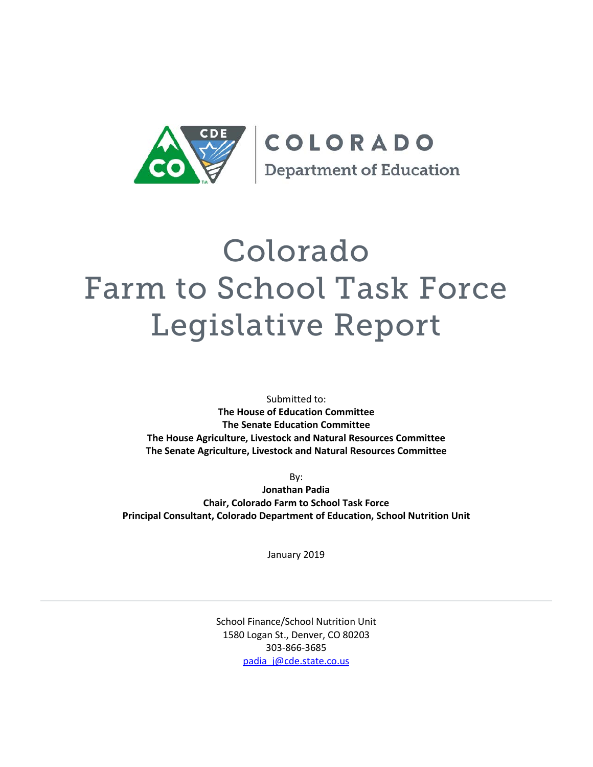

# Colorado Farm to School Task Force Legislative Report

Submitted to: **The House of Education Committee The Senate Education Committee The House Agriculture, Livestock and Natural Resources Committee The Senate Agriculture, Livestock and Natural Resources Committee**

By:

**Jonathan Padia Chair, Colorado Farm to School Task Force Principal Consultant, Colorado Department of Education, School Nutrition Unit**

January 2019

School Finance/School Nutrition Unit 1580 Logan St., Denver, CO 80203 303-866-3685 [padia\\_j@cde.state.co.us](mailto:padia_j@cde.state.co.us)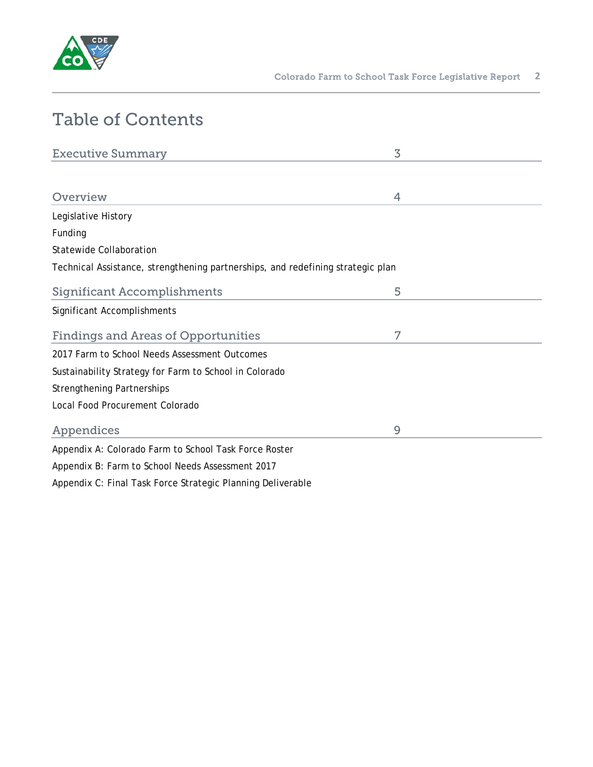

# Table of Contents

| <b>Executive Summary</b>                                                        | 3 |  |  |
|---------------------------------------------------------------------------------|---|--|--|
|                                                                                 |   |  |  |
| Overview                                                                        | 4 |  |  |
| Legislative History                                                             |   |  |  |
| Funding                                                                         |   |  |  |
| <b>Statewide Collaboration</b>                                                  |   |  |  |
| Technical Assistance, strengthening partnerships, and redefining strategic plan |   |  |  |
| Significant Accomplishments                                                     | 5 |  |  |
| Significant Accomplishments                                                     |   |  |  |
| <b>Findings and Areas of Opportunities</b>                                      | 7 |  |  |
| 2017 Farm to School Needs Assessment Outcomes                                   |   |  |  |
| Sustainability Strategy for Farm to School in Colorado                          |   |  |  |
| <b>Strengthening Partnerships</b>                                               |   |  |  |
| Local Food Procurement Colorado                                                 |   |  |  |
| Appendices                                                                      | 9 |  |  |
| Appendix A: Colorado Farm to School Task Force Roster                           |   |  |  |
| Appendix B: Farm to School Needs Assessment 2017                                |   |  |  |
| Appendix C: Final Task Force Strategic Planning Deliverable                     |   |  |  |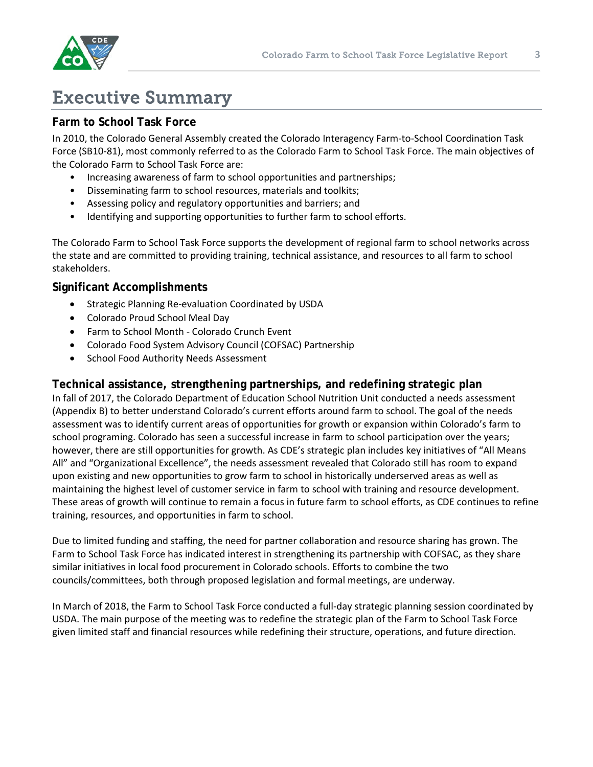

# Executive Summary

#### **Farm to School Task Force**

In 2010, the Colorado General Assembly created the Colorado Interagency Farm-to-School Coordination Task Force (SB10-81), most commonly referred to as the Colorado Farm to School Task Force. The main objectives of the Colorado Farm to School Task Force are:

- Increasing awareness of farm to school opportunities and partnerships;
- Disseminating farm to school resources, materials and toolkits;
- Assessing policy and regulatory opportunities and barriers; and
- Identifying and supporting opportunities to further farm to school efforts.

The Colorado Farm to School Task Force supports the development of regional farm to school networks across the state and are committed to providing training, technical assistance, and resources to all farm to school stakeholders.

#### **Significant Accomplishments**

- Strategic Planning Re-evaluation Coordinated by USDA
- Colorado Proud School Meal Day
- Farm to School Month Colorado Crunch Event
- Colorado Food System Advisory Council (COFSAC) Partnership
- School Food Authority Needs Assessment

#### **Technical assistance, strengthening partnerships, and redefining strategic plan**

In fall of 2017, the Colorado Department of Education School Nutrition Unit conducted a needs assessment (Appendix B) to better understand Colorado's current efforts around farm to school. The goal of the needs assessment was to identify current areas of opportunities for growth or expansion within Colorado's farm to school programing. Colorado has seen a successful increase in farm to school participation over the years; however, there are still opportunities for growth. As CDE's strategic plan includes key initiatives of "All Means All" and "Organizational Excellence", the needs assessment revealed that Colorado still has room to expand upon existing and new opportunities to grow farm to school in historically underserved areas as well as maintaining the highest level of customer service in farm to school with training and resource development. These areas of growth will continue to remain a focus in future farm to school efforts, as CDE continues to refine training, resources, and opportunities in farm to school.

Due to limited funding and staffing, the need for partner collaboration and resource sharing has grown. The Farm to School Task Force has indicated interest in strengthening its partnership with COFSAC, as they share similar initiatives in local food procurement in Colorado schools. Efforts to combine the two councils/committees, both through proposed legislation and formal meetings, are underway.

In March of 2018, the Farm to School Task Force conducted a full-day strategic planning session coordinated by USDA. The main purpose of the meeting was to redefine the strategic plan of the Farm to School Task Force given limited staff and financial resources while redefining their structure, operations, and future direction.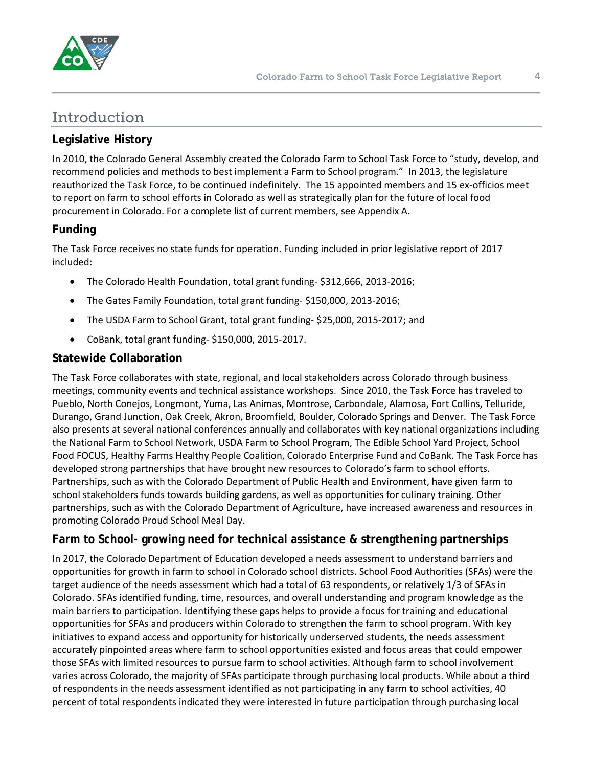

#### Introduction

#### **Legislative History**

In 2010, the Colorado General Assembly created the Colorado Farm to School Task Force to "study, develop, and recommend policies and methods to best implement a Farm to School program." In 2013, the legislature reauthorized the Task Force, to be continued indefinitely. The 15 appointed members and 15 ex-officios meet to report on farm to school efforts in Colorado as well as strategically plan for the future of local food procurement in Colorado. For a complete list of current members, see Appendix A.

#### **Funding**

The Task Force receives no state funds for operation. Funding included in prior legislative report of 2017 included:

- The Colorado Health Foundation, total grant funding- \$312,666, 2013-2016;
- The Gates Family Foundation, total grant funding- \$150,000, 2013-2016;
- The USDA Farm to School Grant, total grant funding- \$25,000, 2015-2017; and
- CoBank, total grant funding- \$150,000, 2015-2017.

#### **Statewide Collaboration**

The Task Force collaborates with state, regional, and local stakeholders across Colorado through business meetings, community events and technical assistance workshops. Since 2010, the Task Force has traveled to Pueblo, North Conejos, Longmont, Yuma, Las Animas, Montrose, Carbondale, Alamosa, Fort Collins, Telluride, Durango, Grand Junction, Oak Creek, Akron, Broomfield, Boulder, Colorado Springs and Denver. The Task Force also presents at several national conferences annually and collaborates with key national organizations including the National Farm to School Network, USDA Farm to School Program, The Edible School Yard Project, School Food FOCUS, Healthy Farms Healthy People Coalition, Colorado Enterprise Fund and CoBank. The Task Force has developed strong partnerships that have brought new resources to Colorado's farm to school efforts. Partnerships, such as with the Colorado Department of Public Health and Environment, have given farm to school stakeholders funds towards building gardens, as well as opportunities for culinary training. Other partnerships, such as with the Colorado Department of Agriculture, have increased awareness and resources in promoting Colorado Proud School Meal Day.

#### **Farm to School- growing need for technical assistance & strengthening partnerships**

In 2017, the Colorado Department of Education developed a needs assessment to understand barriers and opportunities for growth in farm to school in Colorado school districts. School Food Authorities (SFAs) were the target audience of the needs assessment which had a total of 63 respondents, or relatively 1/3 of SFAs in Colorado. SFAs identified funding, time, resources, and overall understanding and program knowledge as the main barriers to participation. Identifying these gaps helps to provide a focus for training and educational opportunities for SFAs and producers within Colorado to strengthen the farm to school program. With key initiatives to expand access and opportunity for historically underserved students, the needs assessment accurately pinpointed areas where farm to school opportunities existed and focus areas that could empower those SFAs with limited resources to pursue farm to school activities. Although farm to school involvement varies across Colorado, the majority of SFAs participate through purchasing local products. While about a third of respondents in the needs assessment identified as not participating in any farm to school activities, 40 percent of total respondents indicated they were interested in future participation through purchasing local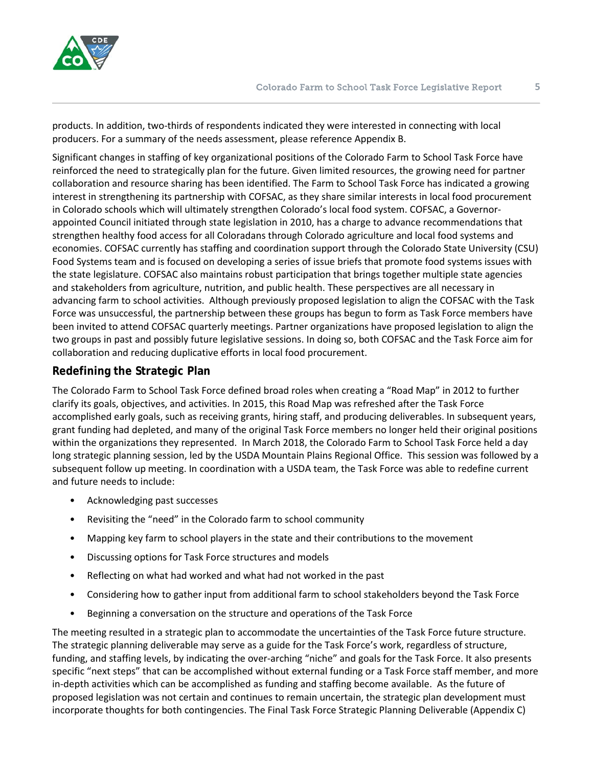

products. In addition, two-thirds of respondents indicated they were interested in connecting with local producers. For a summary of the needs assessment, please reference Appendix B.

Significant changes in staffing of key organizational positions of the Colorado Farm to School Task Force have reinforced the need to strategically plan for the future. Given limited resources, the growing need for partner collaboration and resource sharing has been identified. The Farm to School Task Force has indicated a growing interest in strengthening its partnership with COFSAC, as they share similar interests in local food procurement in Colorado schools which will ultimately strengthen Colorado's local food system. COFSAC, a Governorappointed Council initiated through state legislation in 2010, has a charge to advance recommendations that strengthen healthy food access for all Coloradans through Colorado agriculture and local food systems and economies. COFSAC currently has staffing and coordination support through the Colorado State University (CSU) Food Systems team and is focused on developing a series of issue briefs that promote food systems issues with the state legislature. COFSAC also maintains robust participation that brings together multiple state agencies and stakeholders from agriculture, nutrition, and public health. These perspectives are all necessary in advancing farm to school activities. Although previously proposed legislation to align the COFSAC with the Task Force was unsuccessful, the partnership between these groups has begun to form as Task Force members have been invited to attend COFSAC quarterly meetings. Partner organizations have proposed legislation to align the two groups in past and possibly future legislative sessions. In doing so, both COFSAC and the Task Force aim for collaboration and reducing duplicative efforts in local food procurement.

#### **Redefining the Strategic Plan**

The Colorado Farm to School Task Force defined broad roles when creating a "Road Map" in 2012 to further clarify its goals, objectives, and activities. In 2015, this Road Map was refreshed after the Task Force accomplished early goals, such as receiving grants, hiring staff, and producing deliverables. In subsequent years, grant funding had depleted, and many of the original Task Force members no longer held their original positions within the organizations they represented. In March 2018, the Colorado Farm to School Task Force held a day long strategic planning session, led by the USDA Mountain Plains Regional Office. This session was followed by a subsequent follow up meeting. In coordination with a USDA team, the Task Force was able to redefine current and future needs to include:

- Acknowledging past successes
- Revisiting the "need" in the Colorado farm to school community
- Mapping key farm to school players in the state and their contributions to the movement
- Discussing options for Task Force structures and models
- Reflecting on what had worked and what had not worked in the past
- Considering how to gather input from additional farm to school stakeholders beyond the Task Force
- Beginning a conversation on the structure and operations of the Task Force

The meeting resulted in a strategic plan to accommodate the uncertainties of the Task Force future structure. The strategic planning deliverable may serve as a guide for the Task Force's work, regardless of structure, funding, and staffing levels, by indicating the over-arching "niche" and goals for the Task Force. It also presents specific "next steps" that can be accomplished without external funding or a Task Force staff member, and more in-depth activities which can be accomplished as funding and staffing become available. As the future of proposed legislation was not certain and continues to remain uncertain, the strategic plan development must incorporate thoughts for both contingencies. The Final Task Force Strategic Planning Deliverable (Appendix C)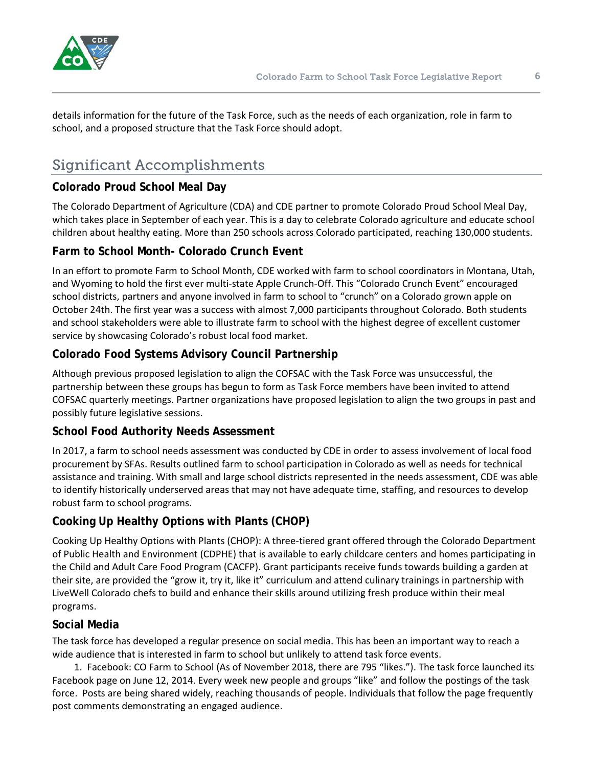

details information for the future of the Task Force, such as the needs of each organization, role in farm to school, and a proposed structure that the Task Force should adopt.

### Significant Accomplishments

#### **Colorado Proud School Meal Day**

The Colorado Department of Agriculture (CDA) and CDE partner to promote Colorado Proud School Meal Day, which takes place in September of each year. This is a day to celebrate Colorado agriculture and educate school children about healthy eating. More than 250 schools across Colorado participated, reaching 130,000 students.

#### **Farm to School Month- Colorado Crunch Event**

In an effort to promote Farm to School Month, CDE worked with farm to school coordinators in Montana, Utah, and Wyoming to hold the first ever multi-state Apple Crunch-Off. This "Colorado Crunch Event" encouraged school districts, partners and anyone involved in farm to school to "crunch" on a Colorado grown apple on October 24th. The first year was a success with almost 7,000 participants throughout Colorado. Both students and school stakeholders were able to illustrate farm to school with the highest degree of excellent customer service by showcasing Colorado's robust local food market.

#### **Colorado Food Systems Advisory Council Partnership**

Although previous proposed legislation to align the COFSAC with the Task Force was unsuccessful, the partnership between these groups has begun to form as Task Force members have been invited to attend COFSAC quarterly meetings. Partner organizations have proposed legislation to align the two groups in past and possibly future legislative sessions.

#### **School Food Authority Needs Assessment**

In 2017, a farm to school needs assessment was conducted by CDE in order to assess involvement of local food procurement by SFAs. Results outlined farm to school participation in Colorado as well as needs for technical assistance and training. With small and large school districts represented in the needs assessment, CDE was able to identify historically underserved areas that may not have adequate time, staffing, and resources to develop robust farm to school programs.

#### **Cooking Up Healthy Options with Plants (CHOP)**

Cooking Up Healthy Options with Plants (CHOP): A three-tiered grant offered through the Colorado Department of Public Health and Environment (CDPHE) that is available to early childcare centers and homes participating in the Child and Adult Care Food Program (CACFP). Grant participants receive funds towards building a garden at their site, are provided the "grow it, try it, like it" curriculum and attend culinary trainings in partnership with LiveWell Colorado chefs to build and enhance their skills around utilizing fresh produce within their meal programs.

#### **Social Media**

The task force has developed a regular presence on social media. This has been an important way to reach a wide audience that is interested in farm to school but unlikely to attend task force events.

1. Facebook: CO Farm to School (As of November 2018, there are 795 "likes."). The task force launched its Facebook page on June 12, 2014. Every week new people and groups "like" and follow the postings of the task force. Posts are being shared widely, reaching thousands of people. Individuals that follow the page frequently post comments demonstrating an engaged audience.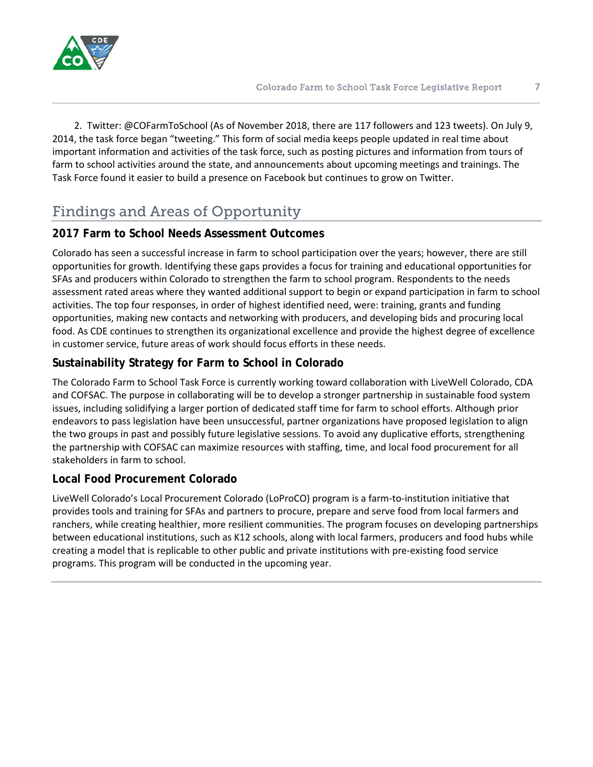

2. Twitter: @COFarmToSchool (As of November 2018, there are 117 followers and 123 tweets). On July 9, 2014, the task force began "tweeting." This form of social media keeps people updated in real time about important information and activities of the task force, such as posting pictures and information from tours of farm to school activities around the state, and announcements about upcoming meetings and trainings. The Task Force found it easier to build a presence on Facebook but continues to grow on Twitter.

# Findings and Areas of Opportunity

#### **2017 Farm to School Needs Assessment Outcomes**

Colorado has seen a successful increase in farm to school participation over the years; however, there are still opportunities for growth. Identifying these gaps provides a focus for training and educational opportunities for SFAs and producers within Colorado to strengthen the farm to school program. Respondents to the needs assessment rated areas where they wanted additional support to begin or expand participation in farm to school activities. The top four responses, in order of highest identified need, were: training, grants and funding opportunities, making new contacts and networking with producers, and developing bids and procuring local food. As CDE continues to strengthen its organizational excellence and provide the highest degree of excellence in customer service, future areas of work should focus efforts in these needs.

#### **Sustainability Strategy for Farm to School in Colorado**

The Colorado Farm to School Task Force is currently working toward collaboration with LiveWell Colorado, CDA and COFSAC. The purpose in collaborating will be to develop a stronger partnership in sustainable food system issues, including solidifying a larger portion of dedicated staff time for farm to school efforts. Although prior endeavors to pass legislation have been unsuccessful, partner organizations have proposed legislation to align the two groups in past and possibly future legislative sessions. To avoid any duplicative efforts, strengthening the partnership with COFSAC can maximize resources with staffing, time, and local food procurement for all stakeholders in farm to school.

#### **Local Food Procurement Colorado**

LiveWell Colorado's Local Procurement Colorado (LoProCO) program is a farm-to-institution initiative that provides tools and training for SFAs and partners to procure, prepare and serve food from local farmers and ranchers, while creating healthier, more resilient communities. The program focuses on developing partnerships between educational institutions, such as K12 schools, along with local farmers, producers and food hubs while creating a model that is replicable to other public and private institutions with pre-existing food service programs. This program will be conducted in the upcoming year.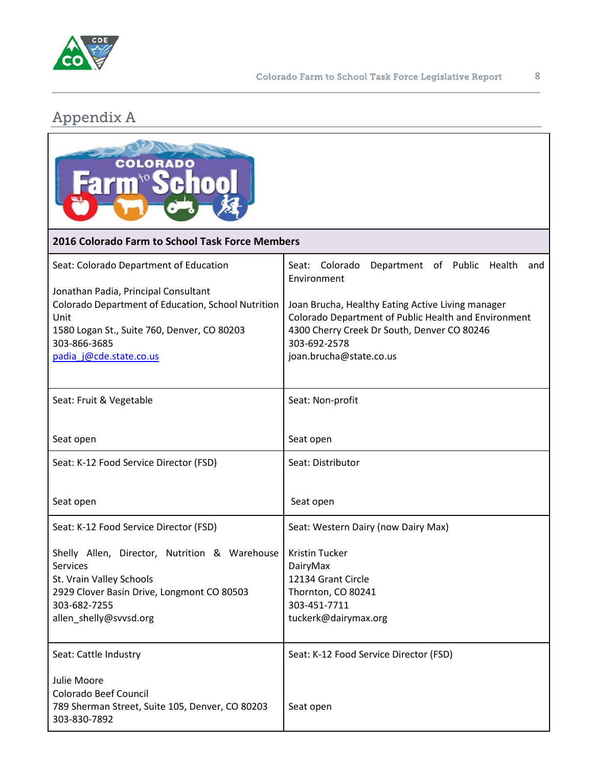

# Appendix A

| <b>COLORADO</b>                                                                                                                                                                                                                        |                                                                                                                                                                                                                                                                                  |  |  |
|----------------------------------------------------------------------------------------------------------------------------------------------------------------------------------------------------------------------------------------|----------------------------------------------------------------------------------------------------------------------------------------------------------------------------------------------------------------------------------------------------------------------------------|--|--|
| 2016 Colorado Farm to School Task Force Members                                                                                                                                                                                        |                                                                                                                                                                                                                                                                                  |  |  |
| Seat: Colorado Department of Education<br>Jonathan Padia, Principal Consultant<br>Colorado Department of Education, School Nutrition<br>Unit<br>1580 Logan St., Suite 760, Denver, CO 80203<br>303-866-3685<br>padia j@cde.state.co.us | Colorado<br>Department of Public<br>Health<br>Seat:<br>and<br>Environment<br>Joan Brucha, Healthy Eating Active Living manager<br>Colorado Department of Public Health and Environment<br>4300 Cherry Creek Dr South, Denver CO 80246<br>303-692-2578<br>joan.brucha@state.co.us |  |  |
| Seat: Fruit & Vegetable<br>Seat open                                                                                                                                                                                                   | Seat: Non-profit<br>Seat open                                                                                                                                                                                                                                                    |  |  |
| Seat: K-12 Food Service Director (FSD)                                                                                                                                                                                                 | Seat: Distributor                                                                                                                                                                                                                                                                |  |  |
| Seat open                                                                                                                                                                                                                              | Seat open                                                                                                                                                                                                                                                                        |  |  |
| Seat: K-12 Food Service Director (FSD)                                                                                                                                                                                                 | Seat: Western Dairy (now Dairy Max)                                                                                                                                                                                                                                              |  |  |
| Shelly Allen, Director, Nutrition & Warehouse<br>Services<br>St. Vrain Valley Schools<br>2929 Clover Basin Drive, Longmont CO 80503<br>303-682-7255<br>allen_shelly@svvsd.org                                                          | Kristin Tucker<br>DairyMax<br>12134 Grant Circle<br>Thornton, CO 80241<br>303-451-7711<br>tuckerk@dairymax.org                                                                                                                                                                   |  |  |
| Seat: Cattle Industry                                                                                                                                                                                                                  | Seat: K-12 Food Service Director (FSD)                                                                                                                                                                                                                                           |  |  |
| Julie Moore<br>Colorado Beef Council<br>789 Sherman Street, Suite 105, Denver, CO 80203<br>303-830-7892                                                                                                                                | Seat open                                                                                                                                                                                                                                                                        |  |  |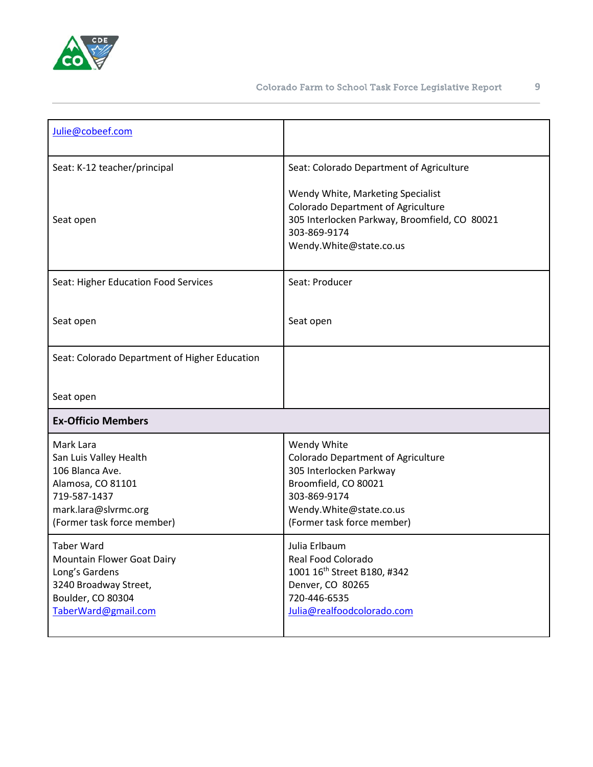

| Julie@cobeef.com                                                                                                                                  |                                                                                                                                                                                      |
|---------------------------------------------------------------------------------------------------------------------------------------------------|--------------------------------------------------------------------------------------------------------------------------------------------------------------------------------------|
| Seat: K-12 teacher/principal                                                                                                                      | Seat: Colorado Department of Agriculture                                                                                                                                             |
| Seat open                                                                                                                                         | Wendy White, Marketing Specialist<br><b>Colorado Department of Agriculture</b><br>305 Interlocken Parkway, Broomfield, CO 80021<br>303-869-9174<br>Wendy.White@state.co.us           |
| Seat: Higher Education Food Services                                                                                                              | Seat: Producer                                                                                                                                                                       |
| Seat open                                                                                                                                         | Seat open                                                                                                                                                                            |
| Seat: Colorado Department of Higher Education                                                                                                     |                                                                                                                                                                                      |
| Seat open                                                                                                                                         |                                                                                                                                                                                      |
| <b>Ex-Officio Members</b>                                                                                                                         |                                                                                                                                                                                      |
| Mark Lara<br>San Luis Valley Health<br>106 Blanca Ave.<br>Alamosa, CO 81101<br>719-587-1437<br>mark.lara@slvrmc.org<br>(Former task force member) | Wendy White<br><b>Colorado Department of Agriculture</b><br>305 Interlocken Parkway<br>Broomfield, CO 80021<br>303-869-9174<br>Wendy.White@state.co.us<br>(Former task force member) |
| Taber Ward<br>Mountain Flower Goat Dairy<br>Long's Gardens<br>3240 Broadway Street,<br>Boulder, CO 80304<br>TaberWard@gmail.com                   | Julia Erlbaum<br>Real Food Colorado<br>1001 16 <sup>th</sup> Street B180, #342<br>Denver, CO 80265<br>720-446-6535<br>Julia@realfoodcolorado.com                                     |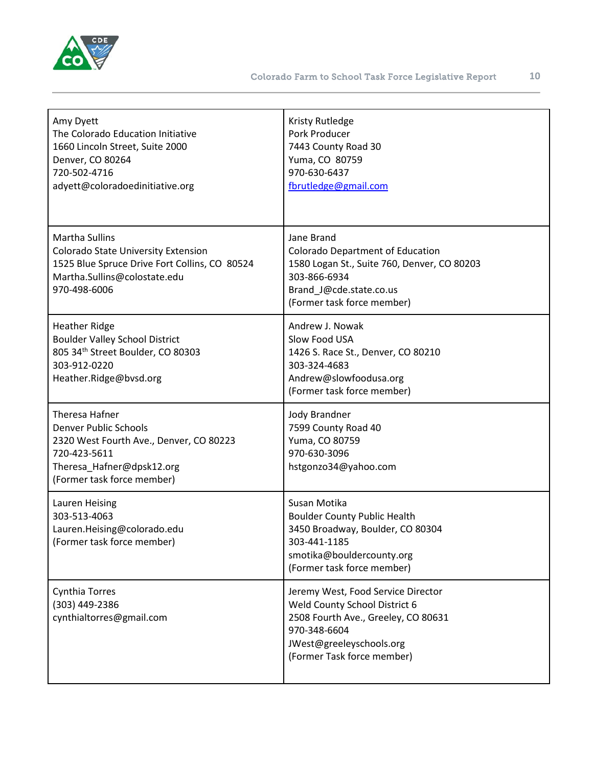

| Amy Dyett<br>The Colorado Education Initiative<br>1660 Lincoln Street, Suite 2000<br>Denver, CO 80264<br>720-502-4716<br>adyett@coloradoedinitiative.org             | Kristy Rutledge<br>Pork Producer<br>7443 County Road 30<br>Yuma, CO 80759<br>970-630-6437<br>fbrutledge@gmail.com                                                                    |
|----------------------------------------------------------------------------------------------------------------------------------------------------------------------|--------------------------------------------------------------------------------------------------------------------------------------------------------------------------------------|
| <b>Martha Sullins</b><br>Colorado State University Extension<br>1525 Blue Spruce Drive Fort Collins, CO 80524<br>Martha.Sullins@colostate.edu<br>970-498-6006        | Jane Brand<br><b>Colorado Department of Education</b><br>1580 Logan St., Suite 760, Denver, CO 80203<br>303-866-6934<br>Brand_J@cde.state.co.us<br>(Former task force member)        |
| <b>Heather Ridge</b><br><b>Boulder Valley School District</b><br>805 34th Street Boulder, CO 80303<br>303-912-0220<br>Heather.Ridge@bvsd.org                         | Andrew J. Nowak<br>Slow Food USA<br>1426 S. Race St., Denver, CO 80210<br>303-324-4683<br>Andrew@slowfoodusa.org<br>(Former task force member)                                       |
| Theresa Hafner<br><b>Denver Public Schools</b><br>2320 West Fourth Ave., Denver, CO 80223<br>720-423-5611<br>Theresa_Hafner@dpsk12.org<br>(Former task force member) | Jody Brandner<br>7599 County Road 40<br>Yuma, CO 80759<br>970-630-3096<br>hstgonzo34@yahoo.com                                                                                       |
| Lauren Heising<br>303-513-4063<br>Lauren.Heising@colorado.edu<br>(Former task force member)                                                                          | Susan Motika<br><b>Boulder County Public Health</b><br>3450 Broadway, Boulder, CO 80304<br>303-441-1185<br>smotika@bouldercounty.org<br>(Former task force member)                   |
| Cynthia Torres<br>(303) 449-2386<br>cynthialtorres@gmail.com                                                                                                         | Jeremy West, Food Service Director<br>Weld County School District 6<br>2508 Fourth Ave., Greeley, CO 80631<br>970-348-6604<br>JWest@greeleyschools.org<br>(Former Task force member) |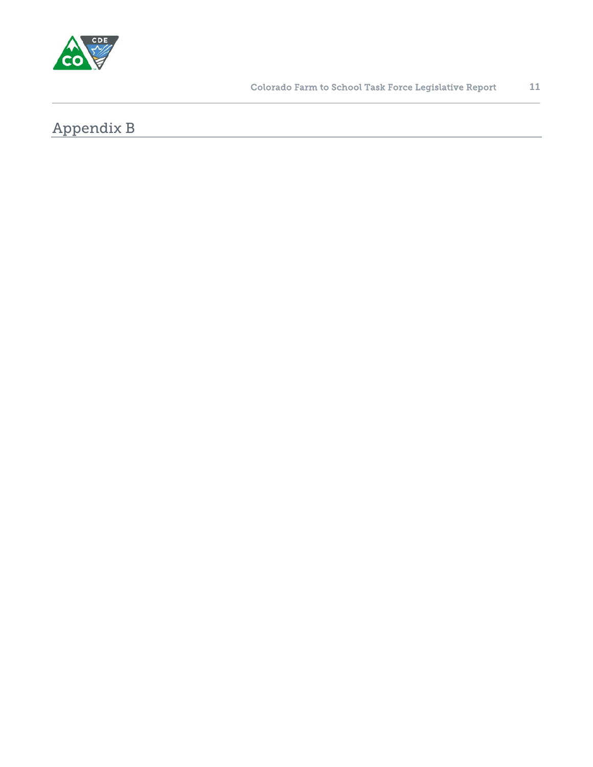

### Appendix B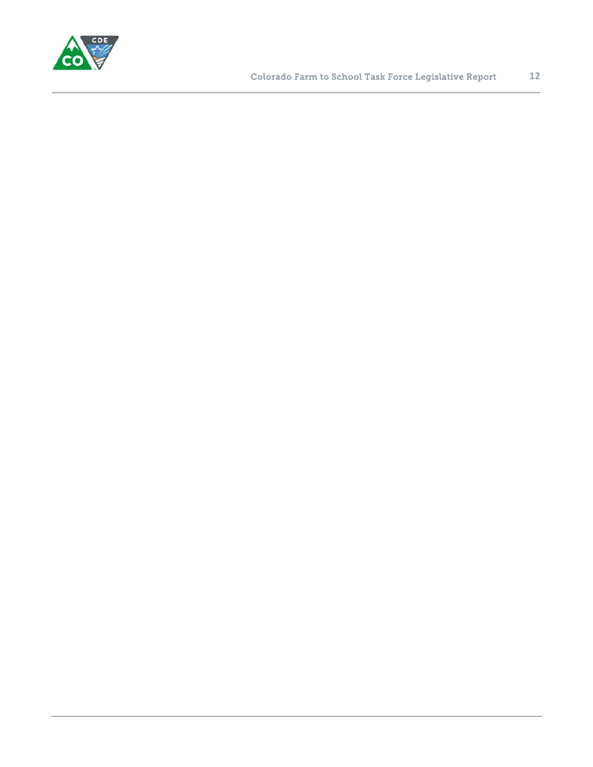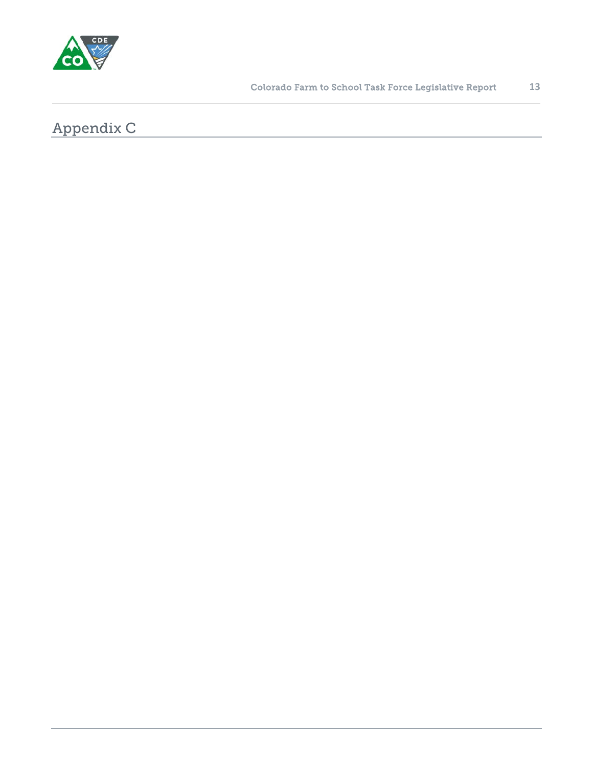

# Appendix C